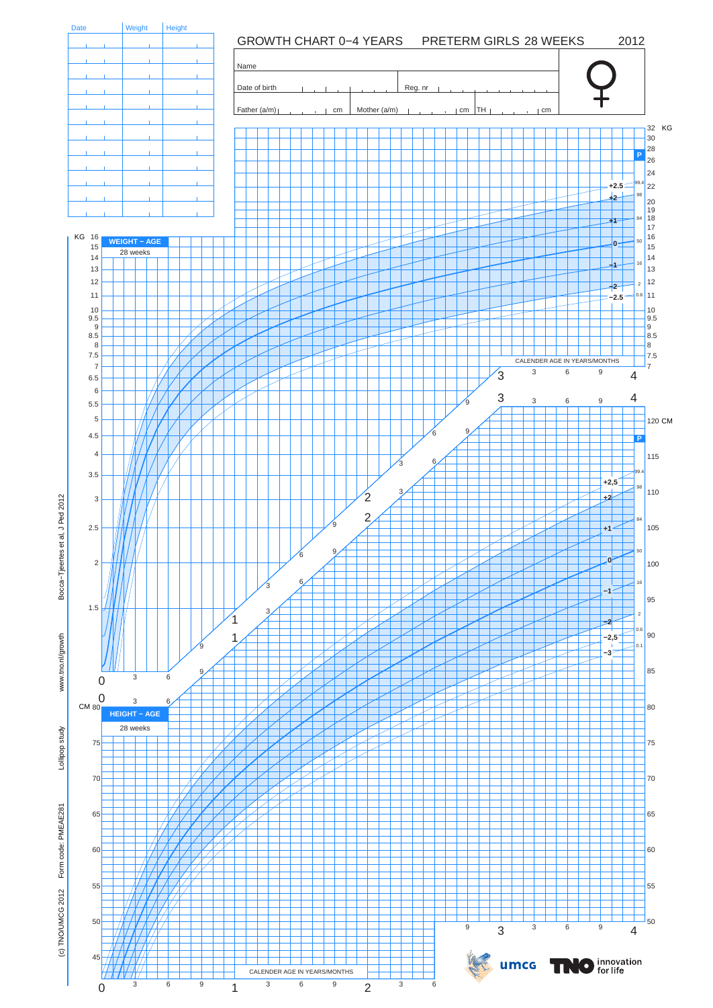